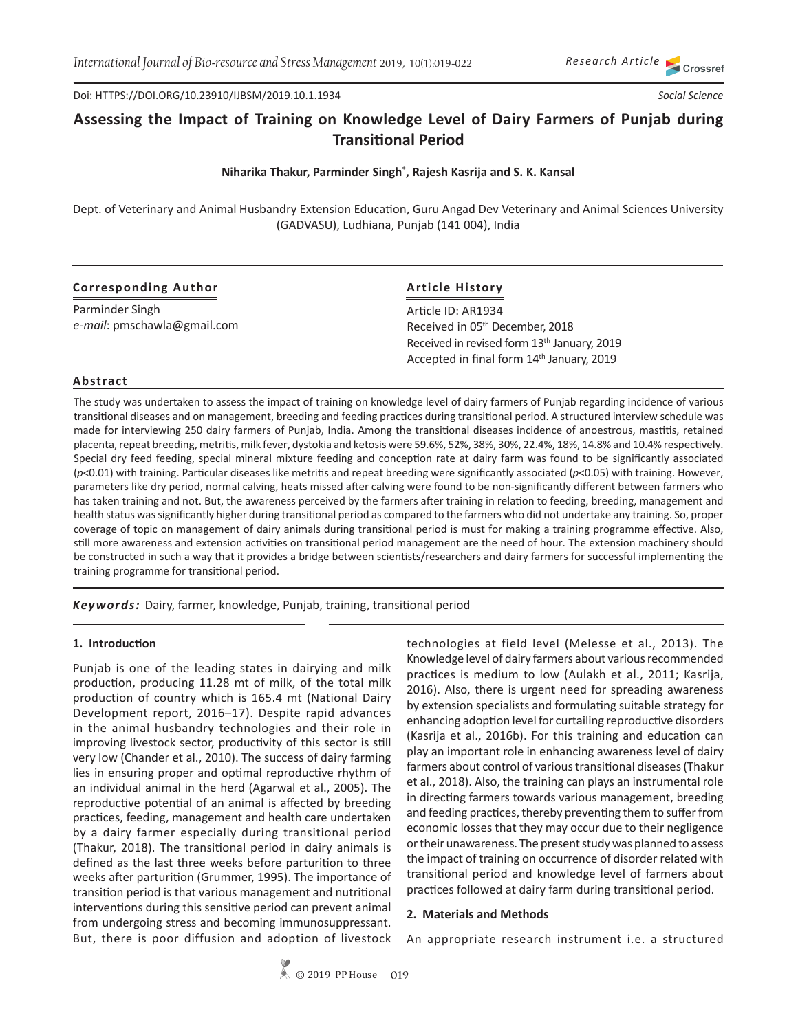Doi: HTTPS://DOI.ORG/10.23910/IJBSM/2019.10.1.1934

# **Assessing the Impact of Training on Knowledge Level of Dairy Farmers of Punjab during Transitional Period**

# **Niharika Thakur, Parminder Singh\* , Rajesh Kasrija and S. K. Kansal**

Dept. of Veterinary and Animal Husbandry Extension Education, Guru Angad Dev Veterinary and Animal Sciences University (GADVASU), Ludhiana, Punjab (141 004), India

# **Corresponding Author**

Parminder Singh *e-mail*: pmschawla@gmail.com

# **Article History**

Article ID: AR1934 Received in 05th December, 2018 Received in revised form 13<sup>th</sup> January, 2019 Accepted in final form 14<sup>th</sup> January, 2019

#### **Abstract**

The study was undertaken to assess the impact of training on knowledge level of dairy farmers of Punjab regarding incidence of various transitional diseases and on management, breeding and feeding practices during transitional period. A structured interview schedule was made for interviewing 250 dairy farmers of Punjab, India. Among the transitional diseases incidence of anoestrous, mastitis, retained placenta, repeat breeding, metritis, milk fever, dystokia and ketosis were 59.6%, 52%, 38%, 30%, 22.4%, 18%, 14.8% and 10.4% respectively. Special dry feed feeding, special mineral mixture feeding and conception rate at dairy farm was found to be significantly associated (*p*<0.01) with training. Particular diseases like metritis and repeat breeding were significantly associated (*p*<0.05) with training. However, parameters like dry period, normal calving, heats missed after calving were found to be non-significantly different between farmers who has taken training and not. But, the awareness perceived by the farmers after training in relation to feeding, breeding, management and health status was significantly higher during transitional period as compared to the farmers who did not undertake any training. So, proper coverage of topic on management of dairy animals during transitional period is must for making a training programme effective. Also, still more awareness and extension activities on transitional period management are the need of hour. The extension machinery should be constructed in such a way that it provides a bridge between scientists/researchers and dairy farmers for successful implementing the training programme for transitional period.

*Keywords:* Dairy, farmer, knowledge, Punjab, training, transitional period

# **1. Introduction**

Punjab is one of the leading states in dairying and milk production, producing 11.28 mt of milk, of the total milk production of country which is 165.4 mt (National Dairy Development report, 2016–17). Despite rapid advances in the animal husbandry technologies and their role in improving livestock sector, productivity of this sector is still very low (Chander et al., 2010). The success of dairy farming lies in ensuring proper and optimal reproductive rhythm of an individual animal in the herd (Agarwal et al., 2005). The reproductive potential of an animal is affected by breeding practices, feeding, management and health care undertaken by a dairy farmer especially during transitional period (Thakur, 2018). The transitional period in dairy animals is defined as the last three weeks before parturition to three weeks after parturition (Grummer, 1995). The importance of transition period is that various management and nutritional interventions during this sensitive period can prevent animal from undergoing stress and becoming immunosuppressant. But, there is poor diffusion and adoption of livestock technologies at field level (Melesse et al., 2013). The Knowledge level of dairy farmers about various recommended practices is medium to low (Aulakh et al., 2011; Kasrija, 2016). Also, there is urgent need for spreading awareness by extension specialists and formulating suitable strategy for enhancing adoption level for curtailing reproductive disorders (Kasrija et al., 2016b). For this training and education can play an important role in enhancing awareness level of dairy farmers about control of various transitional diseases (Thakur et al., 2018). Also, the training can plays an instrumental role in directing farmers towards various management, breeding and feeding practices, thereby preventing them to suffer from economic losses that they may occur due to their negligence or their unawareness. The present study was planned to assess the impact of training on occurrence of disorder related with transitional period and knowledge level of farmers about practices followed at dairy farm during transitional period.

#### **2. Materials and Methods**

An appropriate research instrument i.e. a structured

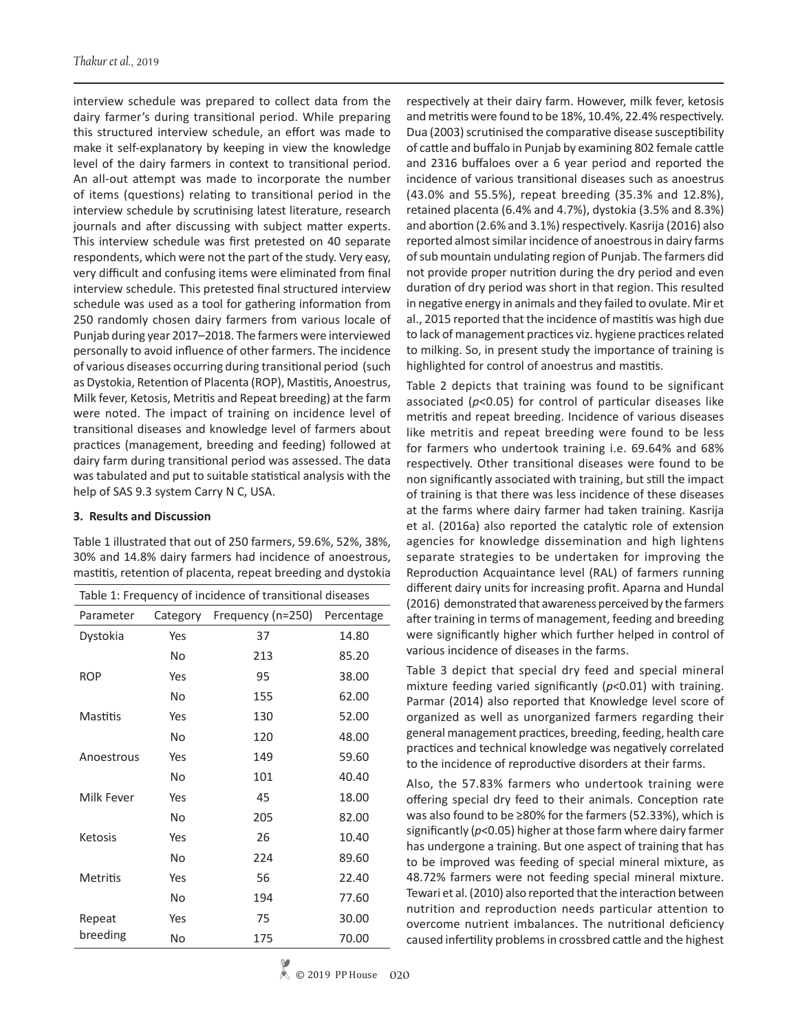interview schedule was prepared to collect data from the dairy farmer's during transitional period. While preparing this structured interview schedule, an effort was made to make it self-explanatory by keeping in view the knowledge level of the dairy farmers in context to transitional period. An all-out attempt was made to incorporate the number of items (questions) relating to transitional period in the interview schedule by scrutinising latest literature, research journals and after discussing with subject matter experts. This interview schedule was first pretested on 40 separate respondents, which were not the part of the study. Very easy, very difficult and confusing items were eliminated from final interview schedule. This pretested final structured interview schedule was used as a tool for gathering information from 250 randomly chosen dairy farmers from various locale of Punjab during year 2017–2018. The farmers were interviewed personally to avoid influence of other farmers. The incidence of various diseases occurring during transitional period (such as Dystokia, Retention of Placenta (ROP), Mastitis, Anoestrus, Milk fever, Ketosis, Metritis and Repeat breeding) at the farm were noted. The impact of training on incidence level of transitional diseases and knowledge level of farmers about practices (management, breeding and feeding) followed at dairy farm during transitional period was assessed. The data was tabulated and put to suitable statistical analysis with the help of SAS 9.3 system Carry N C, USA.

### **3. Results and Discussion**

Table 1 illustrated that out of 250 farmers, 59.6%, 52%, 38%, 30% and 14.8% dairy farmers had incidence of anoestrous, mastitis, retention of placenta, repeat breeding and dystokia

| Table 1: Frequency of incidence of transitional diseases |           |                   |            |  |  |  |  |  |  |
|----------------------------------------------------------|-----------|-------------------|------------|--|--|--|--|--|--|
| Parameter                                                | Category  | Frequency (n=250) | Percentage |  |  |  |  |  |  |
| Dystokia                                                 | Yes       | 37                | 14.80      |  |  |  |  |  |  |
|                                                          | No        | 213               | 85.20      |  |  |  |  |  |  |
| <b>ROP</b>                                               | Yes       | 95                | 38.00      |  |  |  |  |  |  |
|                                                          | <b>No</b> | 155               | 62.00      |  |  |  |  |  |  |
| <b>Mastitis</b>                                          | Yes       | 130               | 52.00      |  |  |  |  |  |  |
|                                                          | No        | 120               | 48.00      |  |  |  |  |  |  |
| Anoestrous                                               | Yes       | 149               | 59.60      |  |  |  |  |  |  |
|                                                          | No        | 101               | 40.40      |  |  |  |  |  |  |
| Milk Fever                                               | Yes       | 45                | 18.00      |  |  |  |  |  |  |
|                                                          | No        | 205               | 82.00      |  |  |  |  |  |  |
| Ketosis                                                  | Yes       | 26                | 10.40      |  |  |  |  |  |  |
|                                                          | No        | 224               | 89.60      |  |  |  |  |  |  |
| <b>Metritis</b>                                          | Yes       | 56                | 22.40      |  |  |  |  |  |  |
|                                                          | No        | 194               | 77.60      |  |  |  |  |  |  |
| Repeat                                                   | Yes       | 75                | 30.00      |  |  |  |  |  |  |
| breeding                                                 | No        | 175               | 70.00      |  |  |  |  |  |  |

respectively at their dairy farm. However, milk fever, ketosis and metritis were found to be 18%, 10.4%, 22.4% respectively. Dua (2003) scrutinised the comparative disease susceptibility of cattle and buffalo in Punjab by examining 802 female cattle and 2316 buffaloes over a 6 year period and reported the incidence of various transitional diseases such as anoestrus (43.0% and 55.5%), repeat breeding (35.3% and 12.8%), retained placenta (6.4% and 4.7%), dystokia (3.5% and 8.3%) and abortion (2.6% and 3.1%) respectively. Kasrija (2016) also reported almost similar incidence of anoestrous in dairy farms of sub mountain undulating region of Punjab. The farmers did not provide proper nutrition during the dry period and even duration of dry period was short in that region. This resulted in negative energy in animals and they failed to ovulate. Mir et al., 2015 reported that the incidence of mastitis was high due to lack of management practices viz. hygiene practices related to milking. So, in present study the importance of training is highlighted for control of anoestrus and mastitis.

Table 2 depicts that training was found to be significant associated (*p*<0.05) for control of particular diseases like metritis and repeat breeding. Incidence of various diseases like metritis and repeat breeding were found to be less for farmers who undertook training i.e. 69.64% and 68% respectively. Other transitional diseases were found to be non significantly associated with training, but still the impact of training is that there was less incidence of these diseases at the farms where dairy farmer had taken training. Kasrija et al. (2016a) also reported the catalytic role of extension agencies for knowledge dissemination and high lightens separate strategies to be undertaken for improving the Reproduction Acquaintance level (RAL) of farmers running different dairy units for increasing profit. Aparna and Hundal (2016) demonstrated that awareness perceived by the farmers after training in terms of management, feeding and breeding were significantly higher which further helped in control of various incidence of diseases in the farms.

Table 3 depict that special dry feed and special mineral mixture feeding varied significantly (*p*<0.01) with training. Parmar (2014) also reported that Knowledge level score of organized as well as unorganized farmers regarding their general management practices, breeding, feeding, health care practices and technical knowledge was negatively correlated to the incidence of reproductive disorders at their farms.

Also, the 57.83% farmers who undertook training were offering special dry feed to their animals. Conception rate was also found to be ≥80% for the farmers (52.33%), which is significantly (*p*<0.05) higher at those farm where dairy farmer has undergone a training. But one aspect of training that has to be improved was feeding of special mineral mixture, as 48.72% farmers were not feeding special mineral mixture. Tewari et al. (2010) also reported that the interaction between nutrition and reproduction needs particular attention to overcome nutrient imbalances. The nutritional deficiency caused infertility problems in crossbred cattle and the highest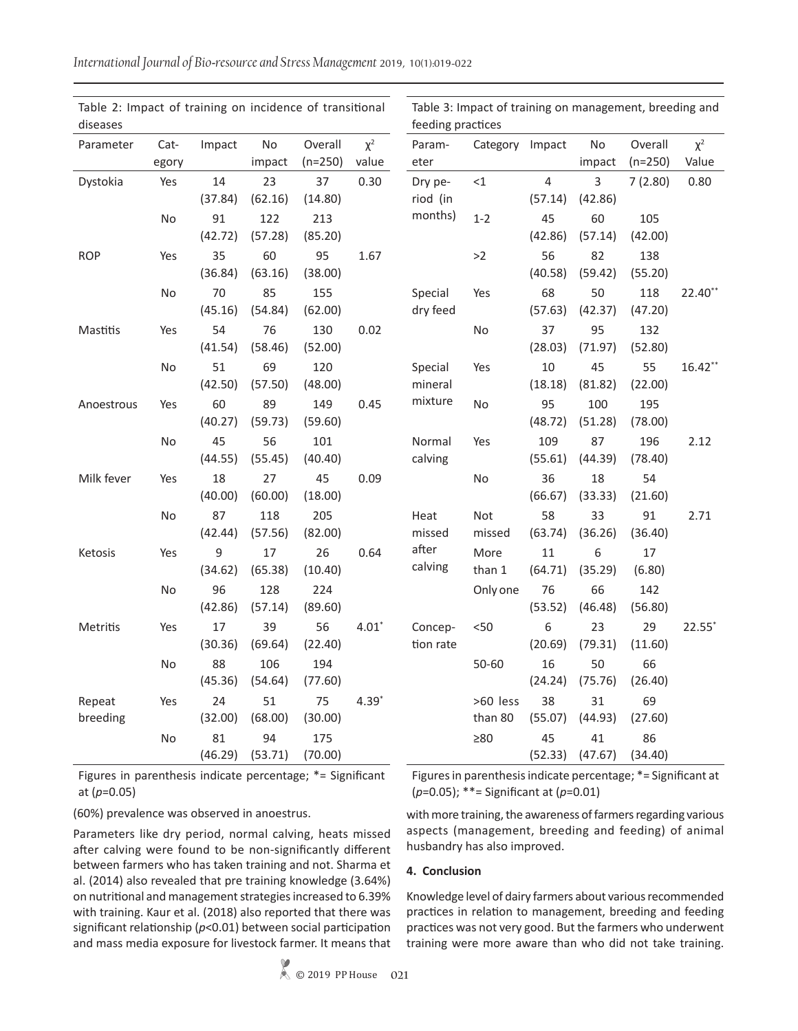| diseases   |           |               |               |                |          | feeding practices |                 |                |               |                |                      |
|------------|-----------|---------------|---------------|----------------|----------|-------------------|-----------------|----------------|---------------|----------------|----------------------|
| Parameter  | Cat-      | Impact        | No            | Overall        | $\chi^2$ | Param-            | Category Impact |                | No            | Overall        | $\chi^2$             |
|            | egory     |               | impact        | $(n=250)$      | value    | eter              |                 |                | impact        | $(n=250)$      | Value                |
| Dystokia   | Yes       | 14            | 23            | 37             | 0.30     | Dry pe-           | $<$ 1           | 4              | 3             | 7(2.80)        | 0.80                 |
|            |           | (37.84)       | (62.16)       | (14.80)        |          | riod (in          |                 | (57.14)        | (42.86)       |                |                      |
|            | <b>No</b> | 91            | 122           | 213            |          | months)           | $1 - 2$         | 45             | 60            | 105            |                      |
|            |           | (42.72)       | (57.28)       | (85.20)        |          |                   |                 | (42.86)        | (57.14)       | (42.00)        |                      |
| <b>ROP</b> | Yes       | 35            | 60            | 95             | 1.67     |                   | >2              | 56             | 82            | 138            |                      |
|            |           | (36.84)       | (63.16)       | (38.00)        |          |                   |                 | (40.58)        | (59.42)       | (55.20)        |                      |
|            | No        | 70            | 85            | 155            |          | Special           | Yes             | 68             | 50            | 118            | $22.40**$            |
|            |           | (45.16)       | (54.84)       | (62.00)        |          | dry feed          |                 | (57.63)        | (42.37)       | (47.20)        |                      |
| Mastitis   | Yes       | 54            | 76            | 130            | 0.02     |                   | No              | 37             | 95            | 132            |                      |
|            |           | (41.54)       | (58.46)       | (52.00)        |          |                   |                 | (28.03)        | (71.97)       | (52.80)        |                      |
|            | No        | 51            | 69            | 120            |          | Special           | Yes             | 10             | 45            | 55             | $16.42**$            |
|            |           | (42.50)       | (57.50)       | (48.00)        |          | mineral           |                 | (18.18)        | (81.82)       | (22.00)        |                      |
| Anoestrous | Yes       | 60            | 89            | 149            | 0.45     | mixture           | <b>No</b>       | 95             | 100           | 195            |                      |
|            |           | (40.27)       | (59.73)       | (59.60)        |          |                   |                 | (48.72)        | (51.28)       | (78.00)        |                      |
|            | <b>No</b> | 45<br>(44.55) | 56<br>(55.45) | 101<br>(40.40) |          | Normal<br>calving | Yes             | 109<br>(55.61) | 87<br>(44.39) | 196<br>(78.40) | 2.12                 |
|            |           |               |               |                |          |                   |                 |                |               |                |                      |
| Milk fever | Yes       | 18<br>(40.00) | 27<br>(60.00) | 45<br>(18.00)  | 0.09     |                   | No              | 36<br>(66.67)  | 18<br>(33.33) | 54<br>(21.60)  |                      |
|            | No        | 87            | 118           | 205            |          | Heat              | Not             | 58             | 33            | 91             | 2.71                 |
|            |           | (42.44)       | (57.56)       | (82.00)        |          | missed            | missed          | (63.74)        | (36.26)       | (36.40)        |                      |
| Ketosis    | Yes       | 9             | 17            | 26             | 0.64     | after             | More            | 11             | 6             | 17             |                      |
|            |           | (34.62)       | (65.38)       | (10.40)        |          | calving           | than 1          | (64.71)        | (35.29)       | (6.80)         |                      |
|            | <b>No</b> | 96            | 128           | 224            |          |                   | Only one        | 76             | 66            | 142            |                      |
|            |           | (42.86)       | (57.14)       | (89.60)        |          |                   |                 | (53.52)        | (46.48)       | (56.80)        |                      |
| Metritis   | Yes       | 17            | 39            | 56             | $4.01*$  | Concep-           | $< 50$          | 6              | 23            | 29             | $22.55$ <sup>*</sup> |
|            |           | (30.36)       | (69.64)       | (22.40)        |          | tion rate         |                 | (20.69)        | (79.31)       | (11.60)        |                      |
|            | No        | 88            | 106           | 194            |          |                   | 50-60           | 16             | 50            | 66             |                      |
|            |           | (45.36)       | (54.64)       | (77.60)        |          |                   |                 | (24.24)        | (75.76)       | (26.40)        |                      |
| Repeat     | Yes       | 24            | 51            | 75             | $4.39*$  |                   | >60 less        | 38             | 31            | 69             |                      |
| breeding   |           | (32.00)       | (68.00)       | (30.00)        |          |                   | than 80         | (55.07)        | (44.93)       | (27.60)        |                      |
|            | No        | 81            | 94            | 175            |          |                   | $\geq 80$       | 45             | 41            | 86             |                      |
|            |           | (46.29)       | (53.71)       | (70.00)        |          |                   |                 | (52.33)        | (47.67)       | (34.40)        |                      |

Table 2: Impact of training on incidence of transitional Table 3: Impact of training on management, breeding and

Figures in parenthesis indicate percentage; \*= Significant at (*p*=0.05)

Figures in parenthesis indicate percentage; \*= Significant at (*p*=0.05); \*\*= Significant at (*p*=0.01)

(60%) prevalence was observed in anoestrus.

Parameters like dry period, normal calving, heats missed after calving were found to be non-significantly different between farmers who has taken training and not. Sharma et al. (2014) also revealed that pre training knowledge (3.64%) on nutritional and management strategies increased to 6.39% with training. Kaur et al. (2018) also reported that there was significant relationship (*p*<0.01) between social participation and mass media exposure for livestock farmer. It means that

with more training, the awareness of farmers regarding various aspects (management, breeding and feeding) of animal husbandry has also improved.

#### **4. Conclusion**

Knowledge level of dairy farmers about various recommended practices in relation to management, breeding and feeding practices was not very good. But the farmers who underwent training were more aware than who did not take training.